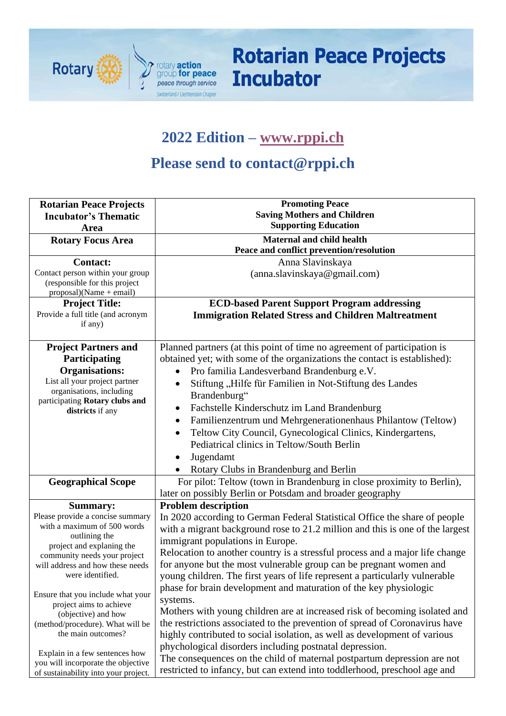

# **Rotarian Peace Projects Incubator**

# **2022 Edition – [www.rppi.ch](http://www.rppi.ch/)**

# **Please send to contact@rppi.ch**

| <b>Rotarian Peace Projects</b>                     | <b>Promoting Peace</b>                                                        |  |  |  |  |  |  |  |  |  |
|----------------------------------------------------|-------------------------------------------------------------------------------|--|--|--|--|--|--|--|--|--|
| <b>Incubator's Thematic</b>                        | <b>Saving Mothers and Children</b>                                            |  |  |  |  |  |  |  |  |  |
| Area                                               | <b>Supporting Education</b>                                                   |  |  |  |  |  |  |  |  |  |
| <b>Rotary Focus Area</b>                           | Maternal and child health                                                     |  |  |  |  |  |  |  |  |  |
|                                                    | Peace and conflict prevention/resolution                                      |  |  |  |  |  |  |  |  |  |
| <b>Contact:</b>                                    | Anna Slavinskaya                                                              |  |  |  |  |  |  |  |  |  |
| Contact person within your group                   | (anna.slavinskaya@gmail.com)                                                  |  |  |  |  |  |  |  |  |  |
| (responsible for this project                      |                                                                               |  |  |  |  |  |  |  |  |  |
| $proposal)(Name + email)$<br><b>Project Title:</b> | <b>ECD-based Parent Support Program addressing</b>                            |  |  |  |  |  |  |  |  |  |
| Provide a full title (and acronym                  | <b>Immigration Related Stress and Children Maltreatment</b>                   |  |  |  |  |  |  |  |  |  |
| if any)                                            |                                                                               |  |  |  |  |  |  |  |  |  |
|                                                    |                                                                               |  |  |  |  |  |  |  |  |  |
| <b>Project Partners and</b>                        | Planned partners (at this point of time no agreement of participation is      |  |  |  |  |  |  |  |  |  |
| Participating                                      | obtained yet; with some of the organizations the contact is established):     |  |  |  |  |  |  |  |  |  |
| <b>Organisations:</b>                              | Pro familia Landesverband Brandenburg e.V.                                    |  |  |  |  |  |  |  |  |  |
| List all your project partner                      | Stiftung "Hilfe für Familien in Not-Stiftung des Landes                       |  |  |  |  |  |  |  |  |  |
| organisations, including                           | Brandenburg"                                                                  |  |  |  |  |  |  |  |  |  |
| participating Rotary clubs and<br>districts if any | Fachstelle Kinderschutz im Land Brandenburg                                   |  |  |  |  |  |  |  |  |  |
|                                                    | Familienzentrum und Mehrgenerationenhaus Philantow (Teltow)<br>٠              |  |  |  |  |  |  |  |  |  |
|                                                    | Teltow City Council, Gynecological Clinics, Kindergartens,<br>$\bullet$       |  |  |  |  |  |  |  |  |  |
|                                                    | Pediatrical clinics in Teltow/South Berlin                                    |  |  |  |  |  |  |  |  |  |
|                                                    | Jugendamt                                                                     |  |  |  |  |  |  |  |  |  |
|                                                    | Rotary Clubs in Brandenburg and Berlin                                        |  |  |  |  |  |  |  |  |  |
| <b>Geographical Scope</b>                          | For pilot: Teltow (town in Brandenburg in close proximity to Berlin),         |  |  |  |  |  |  |  |  |  |
|                                                    | later on possibly Berlin or Potsdam and broader geography                     |  |  |  |  |  |  |  |  |  |
| <b>Summary:</b>                                    | <b>Problem description</b>                                                    |  |  |  |  |  |  |  |  |  |
| Please provide a concise summary                   | In 2020 according to German Federal Statistical Office the share of people    |  |  |  |  |  |  |  |  |  |
| with a maximum of 500 words                        | with a migrant background rose to 21.2 million and this is one of the largest |  |  |  |  |  |  |  |  |  |
| outlining the<br>project and explaning the         | immigrant populations in Europe.                                              |  |  |  |  |  |  |  |  |  |
| community needs your project                       | Relocation to another country is a stressful process and a major life change  |  |  |  |  |  |  |  |  |  |
| will address and how these needs                   | for anyone but the most vulnerable group can be pregnant women and            |  |  |  |  |  |  |  |  |  |
| were identified.                                   | young children. The first years of life represent a particularly vulnerable   |  |  |  |  |  |  |  |  |  |
| Ensure that you include what your                  | phase for brain development and maturation of the key physiologic             |  |  |  |  |  |  |  |  |  |
| project aims to achieve                            | systems.                                                                      |  |  |  |  |  |  |  |  |  |
| (objective) and how                                | Mothers with young children are at increased risk of becoming isolated and    |  |  |  |  |  |  |  |  |  |
| (method/procedure). What will be                   | the restrictions associated to the prevention of spread of Coronavirus have   |  |  |  |  |  |  |  |  |  |
| the main outcomes?                                 | highly contributed to social isolation, as well as development of various     |  |  |  |  |  |  |  |  |  |
| Explain in a few sentences how                     | phychological disorders including postnatal depression.                       |  |  |  |  |  |  |  |  |  |
| you will incorporate the objective                 | The consequences on the child of maternal postpartum depression are not       |  |  |  |  |  |  |  |  |  |
| of sustainability into your project.               | restricted to infancy, but can extend into toddlerhood, preschool age and     |  |  |  |  |  |  |  |  |  |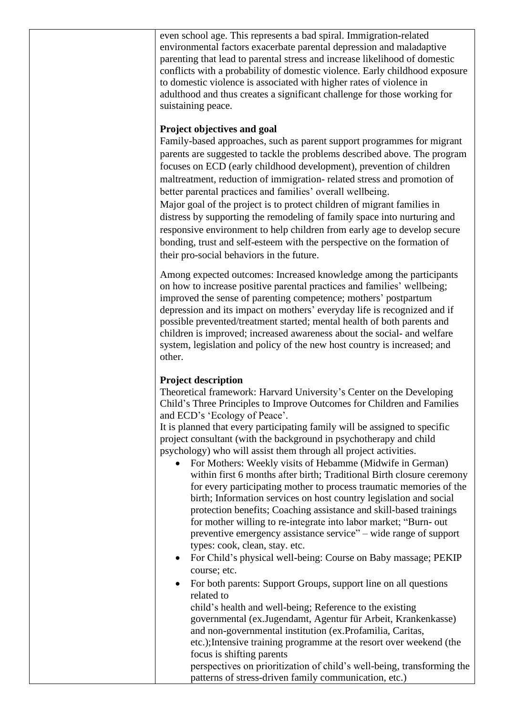even school age. This represents a bad spiral. Immigration-related environmental factors exacerbate parental depression and maladaptive parenting that lead to parental stress and increase likelihood of domestic conflicts with a probability of domestic violence. Early childhood exposure to domestic violence is associated with higher rates of violence in adulthood and thus creates a significant challenge for those working for suistaining peace.

#### **Project objectives and goal**

Family-based approaches, such as parent support programmes for migrant parents are suggested to tackle the problems described above. The program focuses on ECD (early childhood development), prevention of children maltreatment, reduction of immigration- related stress and promotion of better parental practices and families' overall wellbeing. Major goal of the project is to protect children of migrant families in distress by supporting the remodeling of family space into nurturing and responsive environment to help children from early age to develop secure bonding, trust and self-esteem with the perspective on the formation of their pro-social behaviors in the future.

Among expected outcomes: Increased knowledge among the participants on how to increase positive parental practices and families' wellbeing; improved the sense of parenting competence; mothers' postpartum depression and its impact on mothers' everyday life is recognized and if possible prevented/treatment started; mental health of both parents and children is improved; increased awareness about the social- and welfare system, legislation and policy of the new host country is increased; and other.

#### **Project description**

Theoretical framework: Harvard University's Center on the Developing Child's Three Principles to Improve Outcomes for Children and Families and ECD's 'Ecology of Peace'.

It is planned that every participating family will be assigned to specific project consultant (with the background in psychotherapy and child psychology) who will assist them through all project activities.

- For Mothers: Weekly visits of Hebamme (Midwife in German) within first 6 months after birth; Traditional Birth closure ceremony for every participating mother to process traumatic memories of the birth; Information services on host country legislation and social protection benefits; Coaching assistance and skill-based trainings for mother willing to re-integrate into labor market; "Burn- out preventive emergency assistance service" – wide range of support types: cook, clean, stay. etc.
- For Child's physical well-being: Course on Baby massage; PEKIP course; etc.
- For both parents: Support Groups, support line on all questions related to child's health and well-being; Reference to the existing

governmental (ex.Jugendamt, Agentur für Arbeit, Krankenkasse) and non-governmental institution (ex.Profamilia, Caritas, etc.);Intensive training programme at the resort over weekend (the focus is shifting parents

perspectives on prioritization of child's well-being, transforming the patterns of stress-driven family communication, etc.)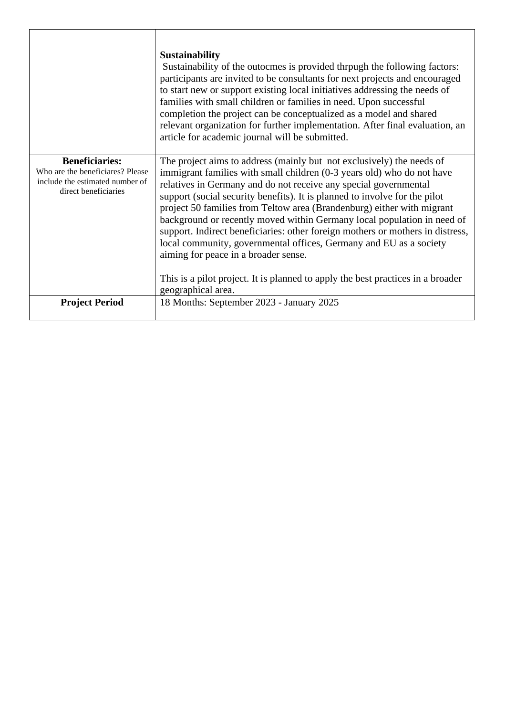|                                                                                                                      | <b>Sustainability</b><br>Sustainability of the outocmes is provided through the following factors:<br>participants are invited to be consultants for next projects and encouraged<br>to start new or support existing local initiatives addressing the needs of<br>families with small children or families in need. Upon successful<br>completion the project can be conceptualized as a model and shared<br>relevant organization for further implementation. After final evaluation, an<br>article for academic journal will be submitted.                                                                                                                                                                                             |  |  |  |  |  |
|----------------------------------------------------------------------------------------------------------------------|-------------------------------------------------------------------------------------------------------------------------------------------------------------------------------------------------------------------------------------------------------------------------------------------------------------------------------------------------------------------------------------------------------------------------------------------------------------------------------------------------------------------------------------------------------------------------------------------------------------------------------------------------------------------------------------------------------------------------------------------|--|--|--|--|--|
| <b>Beneficiaries:</b><br>Who are the beneficiares? Please<br>include the estimated number of<br>direct beneficiaries | The project aims to address (mainly but not exclusively) the needs of<br>immigrant families with small children (0-3 years old) who do not have<br>relatives in Germany and do not receive any special governmental<br>support (social security benefits). It is planned to involve for the pilot<br>project 50 families from Teltow area (Brandenburg) either with migrant<br>background or recently moved within Germany local population in need of<br>support. Indirect beneficiaries: other foreign mothers or mothers in distress,<br>local community, governmental offices, Germany and EU as a society<br>aiming for peace in a broader sense.<br>This is a pilot project. It is planned to apply the best practices in a broader |  |  |  |  |  |
|                                                                                                                      | geographical area.                                                                                                                                                                                                                                                                                                                                                                                                                                                                                                                                                                                                                                                                                                                        |  |  |  |  |  |
| <b>Project Period</b>                                                                                                | 18 Months: September 2023 - January 2025                                                                                                                                                                                                                                                                                                                                                                                                                                                                                                                                                                                                                                                                                                  |  |  |  |  |  |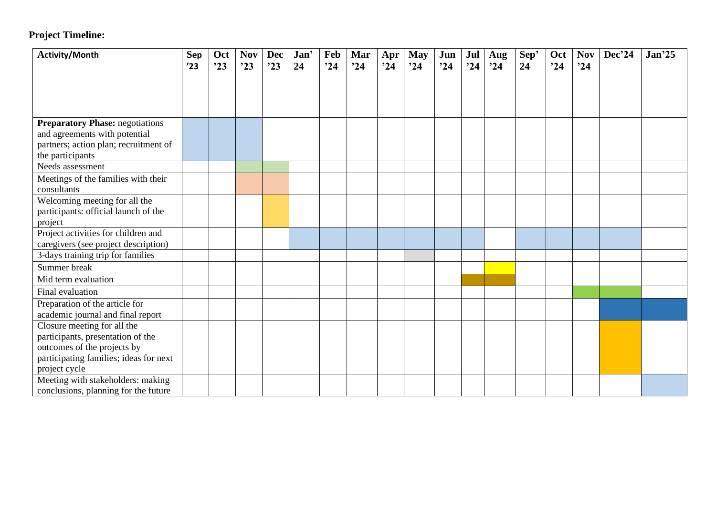### **Project Timeline:**

| <b>Activity/Month</b>                  | Sep | Oct | <b>Nov</b> | <b>Dec</b> | Jan' | Feb | Mar | Apr | <b>May</b> | Jun | Jul | Aug | Sep' | Oct | <b>Nov</b> | Dec'24 | Jan <sup>25</sup> |
|----------------------------------------|-----|-----|------------|------------|------|-----|-----|-----|------------|-----|-----|-----|------|-----|------------|--------|-------------------|
|                                        | '23 | 23  | 23         | 23         | 24   | 24  | 24  | 24  | 24         | 24  | 24  | 24  | 24   | 24  | 24         |        |                   |
|                                        |     |     |            |            |      |     |     |     |            |     |     |     |      |     |            |        |                   |
|                                        |     |     |            |            |      |     |     |     |            |     |     |     |      |     |            |        |                   |
|                                        |     |     |            |            |      |     |     |     |            |     |     |     |      |     |            |        |                   |
| <b>Preparatory Phase: negotiations</b> |     |     |            |            |      |     |     |     |            |     |     |     |      |     |            |        |                   |
| and agreements with potential          |     |     |            |            |      |     |     |     |            |     |     |     |      |     |            |        |                   |
| partners; action plan; recruitment of  |     |     |            |            |      |     |     |     |            |     |     |     |      |     |            |        |                   |
| the participants                       |     |     |            |            |      |     |     |     |            |     |     |     |      |     |            |        |                   |
| Needs assessment                       |     |     |            |            |      |     |     |     |            |     |     |     |      |     |            |        |                   |
| Meetings of the families with their    |     |     |            |            |      |     |     |     |            |     |     |     |      |     |            |        |                   |
| consultants                            |     |     |            |            |      |     |     |     |            |     |     |     |      |     |            |        |                   |
| Welcoming meeting for all the          |     |     |            |            |      |     |     |     |            |     |     |     |      |     |            |        |                   |
| participants: official launch of the   |     |     |            |            |      |     |     |     |            |     |     |     |      |     |            |        |                   |
| project                                |     |     |            |            |      |     |     |     |            |     |     |     |      |     |            |        |                   |
| Project activities for children and    |     |     |            |            |      |     |     |     |            |     |     |     |      |     |            |        |                   |
| caregivers (see project description)   |     |     |            |            |      |     |     |     |            |     |     |     |      |     |            |        |                   |
| 3-days training trip for families      |     |     |            |            |      |     |     |     |            |     |     |     |      |     |            |        |                   |
| Summer break                           |     |     |            |            |      |     |     |     |            |     |     |     |      |     |            |        |                   |
| Mid term evaluation                    |     |     |            |            |      |     |     |     |            |     |     |     |      |     |            |        |                   |
| Final evaluation                       |     |     |            |            |      |     |     |     |            |     |     |     |      |     |            |        |                   |
| Preparation of the article for         |     |     |            |            |      |     |     |     |            |     |     |     |      |     |            |        |                   |
| academic journal and final report      |     |     |            |            |      |     |     |     |            |     |     |     |      |     |            |        |                   |
| Closure meeting for all the            |     |     |            |            |      |     |     |     |            |     |     |     |      |     |            |        |                   |
| participants, presentation of the      |     |     |            |            |      |     |     |     |            |     |     |     |      |     |            |        |                   |
| outcomes of the projects by            |     |     |            |            |      |     |     |     |            |     |     |     |      |     |            |        |                   |
| participating families; ideas for next |     |     |            |            |      |     |     |     |            |     |     |     |      |     |            |        |                   |
| project cycle                          |     |     |            |            |      |     |     |     |            |     |     |     |      |     |            |        |                   |
| Meeting with stakeholders: making      |     |     |            |            |      |     |     |     |            |     |     |     |      |     |            |        |                   |
| conclusions, planning for the future   |     |     |            |            |      |     |     |     |            |     |     |     |      |     |            |        |                   |